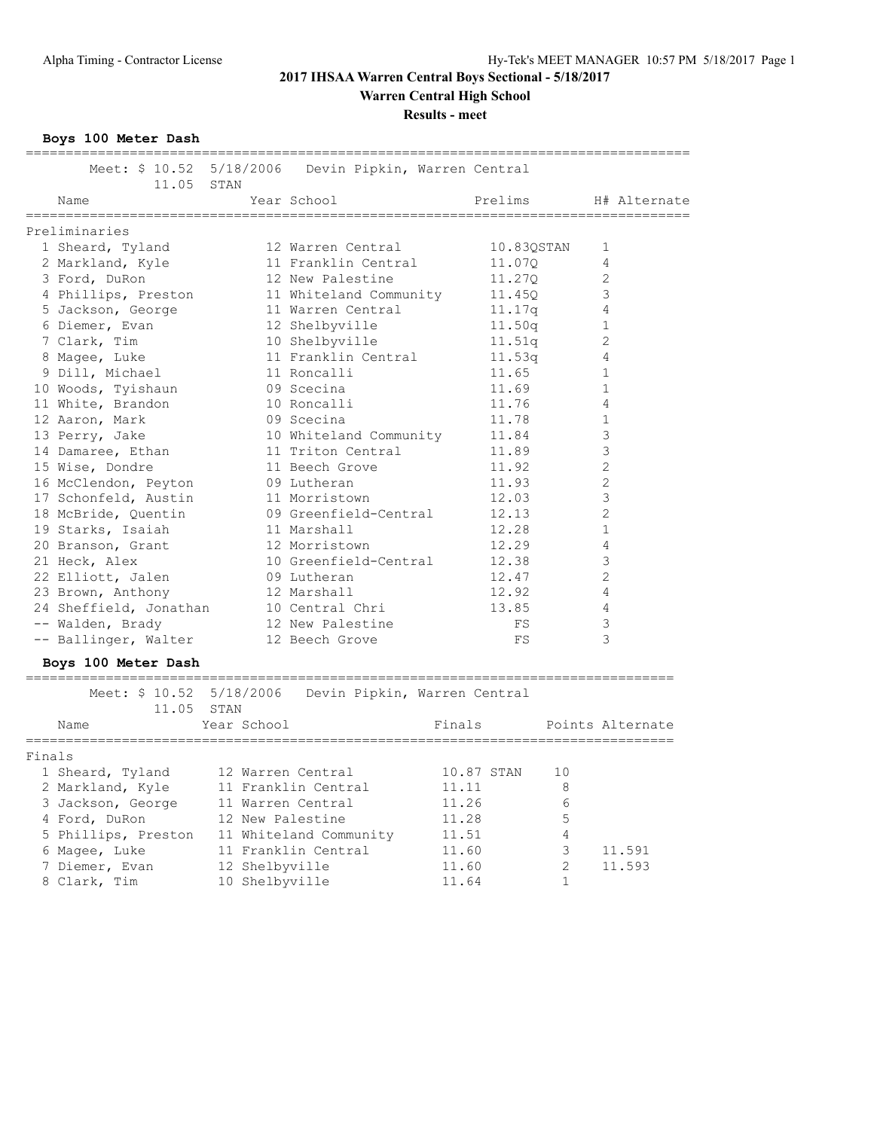## **Results - meet**

**Boys 100 Meter Dash**

|        | 11.05 STAN                                 |                   | Meet: \$ 10.52 5/18/2006 Devin Pipkin, Warren Central |            |                |                  |
|--------|--------------------------------------------|-------------------|-------------------------------------------------------|------------|----------------|------------------|
|        | Name                                       |                   | Year School                                           | Prelims    |                | H# Alternate     |
|        | Preliminaries                              |                   |                                                       |            |                |                  |
|        | 1 Sheard, Tyland                           |                   | 12 Warren Central                                     |            | 10.83QSTAN     | 1                |
|        | 2 Markland, Kyle                           |                   | 11 Franklin Central                                   |            | 11.070         | 4                |
|        | 3 Ford, DuRon                              |                   | 12 New Palestine                                      |            | 11.27Q         | 2                |
|        | 4 Phillips, Preston                        |                   | 11 Whiteland Community                                |            | 11.45Q         | 3                |
|        | 5 Jackson, George                          |                   | 11 Warren Central                                     |            | 11.17q         | 4                |
|        | 6 Diemer, Evan                             |                   | 12 Shelbyville                                        |            | 11.50q         | 1                |
|        | 7 Clark, Tim                               |                   | 10 Shelbyville                                        |            | 11.51q         | 2                |
|        | 8 Magee, Luke                              |                   | 11 Franklin Central                                   |            | 11.53q         | 4                |
|        | 9 Dill, Michael                            |                   | 11 Roncalli                                           |            | 11.65          | 1                |
|        | 10 Woods, Tyishaun                         |                   | 09 Scecina                                            |            | 11.69          | $\mathbf 1$      |
|        | 11 White, Brandon                          |                   | 10 Roncalli                                           |            | 11.76          | $\overline{4}$   |
|        | 12 Aaron, Mark                             |                   | 09 Scecina                                            |            | 11.78          | 1                |
|        | 13 Perry, Jake                             |                   | 10 Whiteland Community                                |            | 11.84          | 3                |
|        | 14 Damaree, Ethan                          |                   | 11 Triton Central                                     |            | 11.89          | 3                |
|        | 15 Wise, Dondre                            |                   | 11 Beech Grove                                        |            | 11.92          | 2                |
|        | 16 McClendon, Peyton                       |                   | 09 Lutheran                                           |            | 11.93          | 2                |
|        | 17 Schonfeld, Austin                       |                   | 11 Morristown                                         |            | 12.03          | 3                |
|        | 18 McBride, Quentin                        |                   | 09 Greenfield-Central                                 |            | 12.13          | 2                |
|        | 19 Starks, Isaiah                          |                   | 11 Marshall                                           |            | 12.28          | 1                |
|        | 20 Branson, Grant                          |                   | 12 Morristown                                         |            | 12.29          | $\overline{4}$   |
|        | 21 Heck, Alex                              |                   | 10 Greenfield-Central                                 |            | 12.38          | 3                |
|        | 22 Elliott, Jalen                          |                   | 09 Lutheran                                           |            | 12.47          | 2                |
|        | 23 Brown, Anthony                          |                   | 12 Marshall                                           |            | 12.92          | 4                |
|        | 24 Sheffield, Jonathan                     |                   | 10 Central Chri                                       |            | 13.85          | $\overline{4}$   |
|        | -- Walden, Brady                           |                   | 12 New Palestine                                      |            | FS             | 3                |
|        | -- Ballinger, Walter                       |                   | 12 Beech Grove                                        |            | FS             | 3                |
|        | Boys 100 Meter Dash                        |                   |                                                       |            |                |                  |
|        |                                            |                   | Meet: \$ 10.52 5/18/2006 Devin Pipkin, Warren Central |            |                |                  |
|        | 11.05 STAN                                 |                   |                                                       |            |                |                  |
|        | Name                                       | Year School       |                                                       | Finals     |                | Points Alternate |
| Finals |                                            |                   |                                                       |            |                |                  |
|        | 1 Sheard, Tyland 12 Warren Central         |                   |                                                       | 10.87 STAN | 10             |                  |
|        | 2 Markland, Kyle                           |                   | 11 Franklin Central                                   | 11.11      | 8              |                  |
|        | 3 Jackson, George                          | 11 Warren Central |                                                       | 11.26      | 6              |                  |
|        | 4 Ford, DuRon 12 New Palestine             |                   |                                                       | 11.28      | 5              |                  |
|        | 5 Phillips, Preston 11 Whiteland Community |                   |                                                       | 11.51      | 4              |                  |
|        | 6 Magee, Luke                              |                   | 11 Franklin Central                                   | 11.60      | 3              | 11.591           |
|        | 7 Diemer, Evan                             | 12 Shelbyville    |                                                       | 11.60      | $\mathfrak{D}$ | 11.593           |

8 Clark, Tim 10 Shelbyville 11.64 1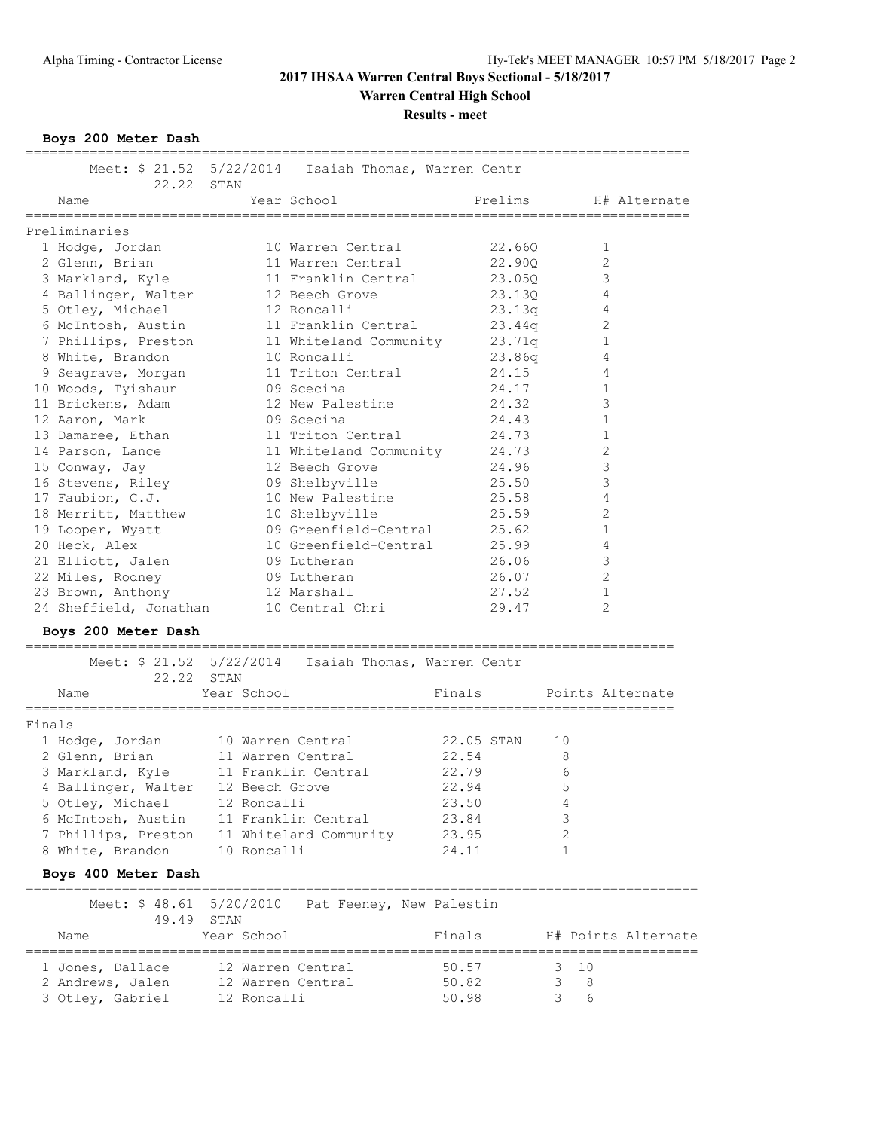**Results - meet**

**Boys 200 Meter Dash**

|        | 22.22 STAN                                 |                   | Meet: \$ 21.52 5/22/2014  Isaiah Thomas, Warren Centr |                |                  |                     |
|--------|--------------------------------------------|-------------------|-------------------------------------------------------|----------------|------------------|---------------------|
|        | Name                                       |                   | Year School                                           | Prelims        |                  | H# Alternate        |
|        | ===================<br>Preliminaries       |                   |                                                       |                |                  |                     |
|        | 1 Hodge, Jordan                            |                   | 10 Warren Central                                     | 22.660         | 1                |                     |
|        | 2 Glenn, Brian                             |                   | 11 Warren Central                                     | 22.90Q         | 2                |                     |
|        | 3 Markland, Kyle                           |                   | 11 Franklin Central                                   | 23.05Q         | 3                |                     |
|        | 4 Ballinger, Walter                        |                   | 12 Beech Grove                                        | 23.130         | 4                |                     |
|        | 5 Otley, Michael                           |                   | 12 Roncalli                                           | 23.13q         | 4                |                     |
|        | 6 McIntosh, Austin                         |                   | 11 Franklin Central                                   | 23.44q         | 2                |                     |
|        | 7 Phillips, Preston                        |                   | 11 Whiteland Community                                | 23.71q         | $\mathbf{1}$     |                     |
|        | 8 White, Brandon                           |                   | 10 Roncalli                                           | 23.86q         | 4                |                     |
|        | 9 Seagrave, Morgan                         |                   | 11 Triton Central                                     | 24.15          | 4                |                     |
|        | 10 Woods, Tyishaun                         |                   | 09 Scecina                                            | 24.17          | $\mathbf 1$      |                     |
|        | 11 Brickens, Adam                          |                   | 12 New Palestine                                      | 24.32          | $\mathsf 3$      |                     |
|        | 12 Aaron, Mark                             |                   | 09 Scecina                                            | 24.43          | $\mathbf 1$      |                     |
|        | 13 Damaree, Ethan                          |                   | 11 Triton Central                                     | 24.73          | $\mathbf 1$      |                     |
|        | 14 Parson, Lance                           |                   | 11 Whiteland Community                                | 24.73          | $\sqrt{2}$       |                     |
|        | 15 Conway, Jay                             |                   | 12 Beech Grove                                        | 24.96          | 3                |                     |
|        |                                            |                   | 09 Shelbyville                                        | 25.50          | 3                |                     |
|        | 16 Stevens, Riley                          |                   |                                                       |                | 4                |                     |
|        | 17 Faubion, C.J.                           |                   | 10 New Palestine                                      | 25.58<br>25.59 | $\mathbf{2}$     |                     |
|        | 18 Merritt, Matthew                        |                   | 10 Shelbyville                                        |                |                  |                     |
|        | 19 Looper, Wyatt                           |                   | 09 Greenfield-Central                                 | 25.62          | $\mathbf 1$      |                     |
|        | 20 Heck, Alex                              |                   | 10 Greenfield-Central                                 | 25.99          | 4                |                     |
|        | 21 Elliott, Jalen                          |                   | 09 Lutheran                                           | 26.06          | 3                |                     |
|        | 22 Miles, Rodney                           |                   | 09 Lutheran                                           | 26.07          | 2                |                     |
|        | 23 Brown, Anthony                          |                   | 12 Marshall                                           | 27.52          | 1                |                     |
|        | 24 Sheffield, Jonathan                     |                   | 10 Central Chri                                       | 29.47          | 2                |                     |
|        | Boys 200 Meter Dash                        |                   |                                                       |                |                  |                     |
|        | 22.22 STAN                                 |                   | Meet: \$ 21.52 5/22/2014  Isaiah Thomas, Warren Centr |                |                  |                     |
|        | Name                                       | Year School       |                                                       | Finals         | Points Alternate |                     |
| Finals |                                            |                   |                                                       |                |                  |                     |
|        | 1 Hodge, Jordan 10 Warren Central          |                   |                                                       | 22.05 STAN     | 10               |                     |
|        | 2 Glenn, Brian                             | 11 Warren Central |                                                       | 22.54          | 8                |                     |
|        | 3 Markland, Kyle 11 Franklin Central       |                   |                                                       | 22.79          | 6                |                     |
|        |                                            |                   |                                                       | 22.94          | $\mathbb 5$      |                     |
|        |                                            |                   |                                                       | 23.50          |                  |                     |
|        | 4 Ballinger, Walter 12 Beech Grove         |                   |                                                       |                |                  |                     |
|        | 5 Otley, Michael                           | 12 Roncalli       |                                                       |                | 4                |                     |
|        | 6 McIntosh, Austin 11 Franklin Central     |                   |                                                       | 23.84          | 3                |                     |
|        | 7 Phillips, Preston 11 Whiteland Community |                   |                                                       | 23.95          | 2                |                     |
|        | 8 White, Brandon                           | 10 Roncalli       |                                                       | 24.11          | 1                |                     |
|        | Boys 400 Meter Dash                        |                   |                                                       |                |                  |                     |
|        | Meet: \$ 48.61 5/20/2010<br>49.49 STAN     |                   | Pat Feeney, New Palestin                              |                |                  |                     |
|        | Name                                       | Year School       |                                                       | Finals         |                  | H# Points Alternate |
|        |                                            | 12 Warren Central |                                                       | 50.57          | 10<br>3          |                     |
|        | 1 Jones, Dallace<br>2 Andrews, Jalen       | 12 Warren Central |                                                       | 50.82          | 3<br>8           |                     |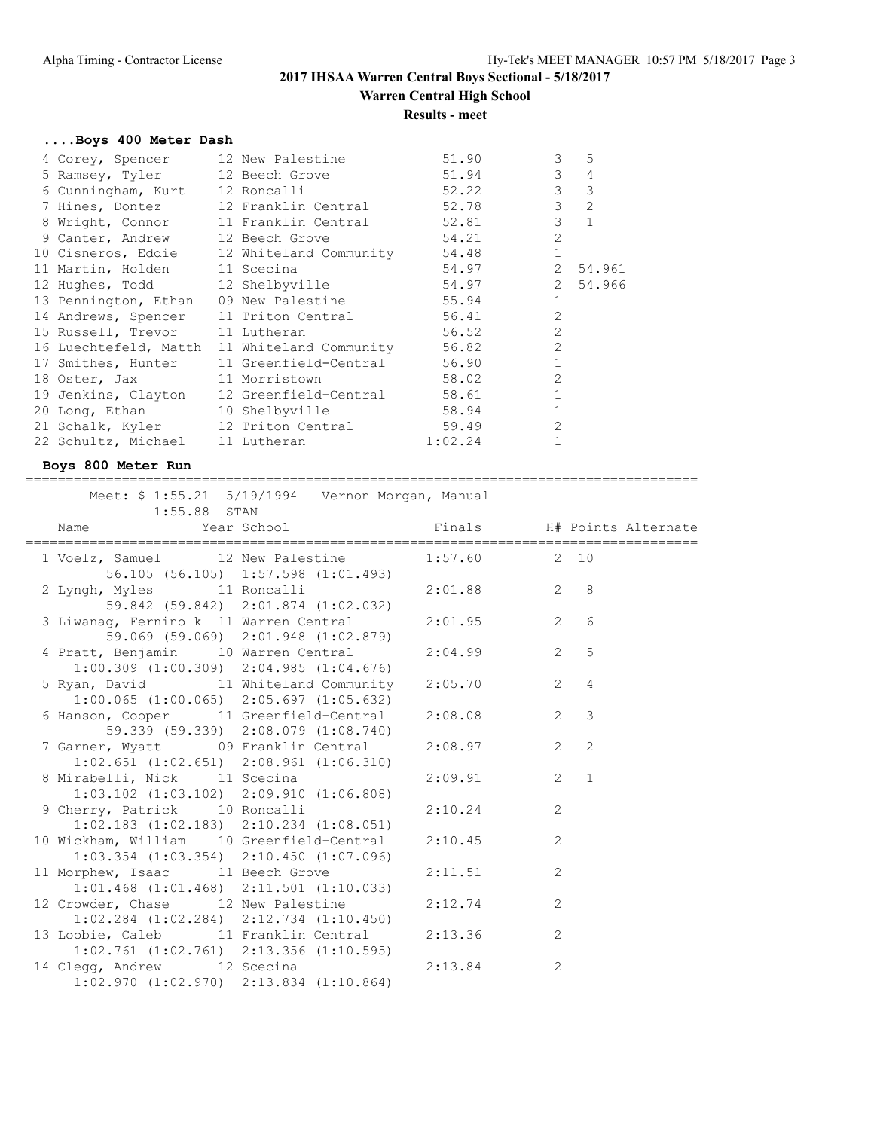## **....Boys 400 Meter Dash**

| 4 Corey, Spencer                | 12 New Palestine                                | 51.90   | 3<br>5                   |  |
|---------------------------------|-------------------------------------------------|---------|--------------------------|--|
| 5 Ramsey, Tyler 12 Beech Grove  |                                                 | 51.94   | 3<br>$\overline{4}$      |  |
| 6 Cunningham, Kurt 12 Roncalli  |                                                 | 52.22   | $\mathcal{E}$<br>3       |  |
|                                 | 7 Hines, Dontez 12 Franklin Central             | 52.78   | 3<br>$\overline{2}$      |  |
|                                 | 8 Wright, Connor 11 Franklin Central            | 52.81   | 3<br>$\mathbf{1}$        |  |
| 9 Canter, Andrew 12 Beech Grove |                                                 | 54.21   | $\overline{2}$           |  |
|                                 | 10 Cisneros, Eddie 12 Whiteland Community       | 54.48   | $\mathbf{1}$             |  |
| 11 Martin, Holden 11 Scecina    |                                                 | 54.97   | $2^{\circ}$<br>54.961    |  |
| 12 Hughes, Todd 12 Shelbyville  |                                                 | 54.97   | $\overline{2}$<br>54.966 |  |
| 13 Pennington, Ethan            | 09 New Palestine                                | 55.94   | 1                        |  |
| 14 Andrews, Spencer             | 11 Triton Central                               | 56.41   | $\overline{2}$           |  |
| 15 Russell, Trevor 11 Lutheran  |                                                 | 56.52   | $\overline{2}$           |  |
|                                 | 16 Luechtefeld, Matth 11 Whiteland Community    | 56.82   | $\overline{2}$           |  |
|                                 | 17 Smithes, Hunter 11 Greenfield-Central        | 56.90   | $\mathbf{1}$             |  |
| 18 Oster, Jax 11 Morristown     |                                                 | 58.02   | $\overline{2}$           |  |
|                                 | 19 Jenkins, Clayton 12 Greenfield-Central 58.61 |         | $\mathbf{1}$             |  |
| 20 Long, Ethan 10 Shelbyville   |                                                 | 58.94   | 1                        |  |
|                                 | 21 Schalk, Kyler 12 Triton Central 59.49        |         | $\overline{2}$           |  |
| 22 Schultz, Michael 11 Lutheran |                                                 | 1:02.24 |                          |  |

## **Boys 800 Meter Run**

====================================================================================

| $1:55.88$ STAN                                                                                 | Meet: \$ 1:55.21 5/19/1994 Vernon Morgan, Manual |               |                |                |
|------------------------------------------------------------------------------------------------|--------------------------------------------------|---------------|----------------|----------------|
|                                                                                                |                                                  |               |                |                |
| 1 Voelz, Samuel 12 New Palestine 1:57.60 2 10                                                  | 56.105 (56.105) 1:57.598 (1:01.493)              |               |                |                |
| 2 Lyngh, Myles 11 Roncalli 2:01.88 2 8                                                         | 59.842 (59.842) 2:01.874 (1:02.032)              |               |                |                |
| 3 Liwanag, Fernino k 11 Warren Central 2:01.95 2 6                                             | 59.069 (59.069) 2:01.948 (1:02.879)              |               |                |                |
| 4 Pratt, Benjamin 10 Warren Central 2:04.99                                                    | $1:00.309$ $(1:00.309)$ $2:04.985$ $(1:04.676)$  |               |                | 2 <sub>5</sub> |
| 5 Ryan, David 11 Whiteland Community 2:05.70 2 4                                               | $1:00.065$ $(1:00.065)$ $2:05.697$ $(1:05.632)$  |               |                |                |
| 6 Hanson, Cooper 11 Greenfield-Central                                                         | 59.339 (59.339) 2:08.079 (1:08.740)              | 2:08.08       |                | $2 \quad 3$    |
| 7 Garner, Wyatt 09 Franklin Central 2:08.97<br>$1:02.651$ $(1:02.651)$ $2:08.961$ $(1:06.310)$ |                                                  |               | $2^{\circ}$    | 2              |
| 8 Mirabelli, Nick 11 Scecina                                                                   | $1:03.102$ $(1:03.102)$ $2:09.910$ $(1:06.808)$  | $2:09.91$ 2 1 |                |                |
| 9 Cherry, Patrick 10 Roncalli<br>$1:02.183$ $(1:02.183)$ $2:10.234$ $(1:08.051)$               |                                                  | 2:10.24       | 2              |                |
| 10 Wickham, William 10 Greenfield-Central 2:10.45                                              | $1:03.354$ $(1:03.354)$ $2:10.450$ $(1:07.096)$  |               | 2              |                |
| 11 Morphew, Isaac 11 Beech Grove                                                               | $1:01.468$ $(1:01.468)$ $2:11.501$ $(1:10.033)$  | 2:11.51       | 2              |                |
| 12 Crowder, Chase 12 New Palestine<br>$1:02.284$ $(1:02.284)$ $2:12.734$ $(1:10.450)$          |                                                  | 2:12.74       | 2              |                |
| 13 Loobie, Caleb 11 Franklin Central 2:13.36                                                   | $1:02.761$ $(1:02.761)$ $2:13.356$ $(1:10.595)$  |               | 2              |                |
| 14 Clegg, Andrew 12 Scecina<br>$1:02.970$ $(1:02.970)$ $2:13.834$ $(1:10.864)$                 |                                                  | 2:13.84       | $\overline{2}$ |                |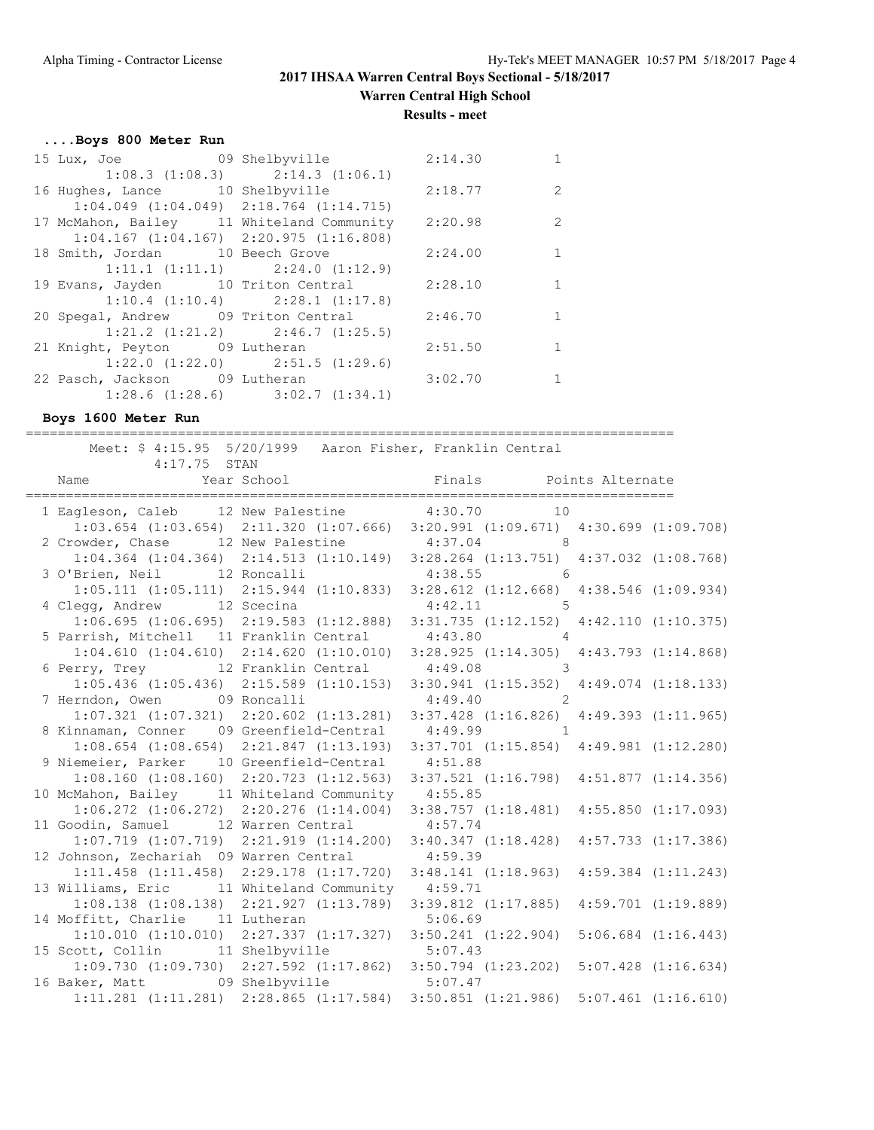**Results - meet**

### **....Boys 800 Meter Run**

| 15 Lux, Joe 69 Shelbyville 2:14.30                |                                         |         | $\mathbf{1}$ |
|---------------------------------------------------|-----------------------------------------|---------|--------------|
|                                                   | $1:08.3$ $(1:08.3)$ $2:14.3$ $(1:06.1)$ |         |              |
| 16 Hughes, Lance 10 Shelbyville 2:18.77           |                                         |         | 2            |
| $1:04.049$ $(1:04.049)$ $2:18.764$ $(1:14.715)$   |                                         |         |              |
| 17 McMahon, Bailey 11 Whiteland Community 2:20.98 |                                         |         | 2            |
| $1:04.167$ $(1:04.167)$ $2:20.975$ $(1:16.808)$   |                                         |         |              |
| 18 Smith, Jordan 10 Beech Grove 2:24.00           |                                         |         | $\mathbf{1}$ |
|                                                   | 1:11.1 (1:11.1) 2:24.0 (1:12.9)         |         |              |
| 19 Evans, Jayden 10 Triton Central 2:28.10        |                                         |         | 1            |
|                                                   | $1:10.4$ $(1:10.4)$ $2:28.1$ $(1:17.8)$ |         |              |
| 20 Spegal, Andrew 09 Triton Central 2:46.70       |                                         |         | 1            |
|                                                   | $1:21.2$ $(1:21.2)$ $2:46.7$ $(1:25.5)$ |         |              |
| 21 Knight, Peyton 09 Lutheran                     |                                         | 2:51.50 | $\mathbf{1}$ |
|                                                   | $1:22.0$ $(1:22.0)$ $2:51.5$ $(1:29.6)$ |         |              |
| 22 Pasch, Jackson 09 Lutheran 3:02.70             |                                         |         |              |
|                                                   | $1:28.6$ $(1:28.6)$ $3:02.7$ $(1:34.1)$ |         |              |

**Boys 1600 Meter Run**

=================================================================================

 Meet: \$ 4:15.95 5/20/1999 Aaron Fisher, Franklin Central  $4:17.75$  STAN Name Year School Finals Points Alternate ================================================================================= 1 Eagleson, Caleb 12 New Palestine 4:30.70 10 1:03.654 (1:03.654) 2:11.320 (1:07.666) 3:20.991 (1:09.671) 4:30.699 (1:09.708) 2 Crowder, Chase 12 New Palestine 4:37.04 8 1:04.364 (1:04.364) 2:14.513 (1:10.149) 3:28.264 (1:13.751) 4:37.032 (1:08.768) 3 O'Brien, Neil 12 Roncalli 4:38.55 6 1:05.111 (1:05.111) 2:15.944 (1:10.833) 3:28.612 (1:12.668) 4:38.546 (1:09.934) 4 Clegg, Andrew 12 Scecina 4:42.11 5 1:06.695 (1:06.695) 2:19.583 (1:12.888) 3:31.735 (1:12.152) 4:42.110 (1:10.375) 5 Parrish, Mitchell 11 Franklin Central 4:43.80 4 1:04.610 (1:04.610) 2:14.620 (1:10.010) 3:28.925 (1:14.305) 4:43.793 (1:14.868) 6 Perry, Trey 12 Franklin Central 4:49.08 3 1:05.436 (1:05.436) 2:15.589 (1:10.153) 3:30.941 (1:15.352) 4:49.074 (1:18.133) 7 Herndon, Owen 09 Roncalli 4:49.40 2 1:07.321 (1:07.321) 2:20.602 (1:13.281) 3:37.428 (1:16.826) 4:49.393 (1:11.965) 8 Kinnaman, Conner 09 Greenfield-Central 4:49.99 1 1:08.654 (1:08.654) 2:21.847 (1:13.193) 3:37.701 (1:15.854) 4:49.981 (1:12.280) 9 Niemeier, Parker 10 Greenfield-Central 4:51.88 1:08.160 (1:08.160) 2:20.723 (1:12.563) 3:37.521 (1:16.798) 4:51.877 (1:14.356) 10 McMahon, Bailey 11 Whiteland Community 4:55.85 1:06.272 (1:06.272) 2:20.276 (1:14.004) 3:38.757 (1:18.481) 4:55.850 (1:17.093) 11 Goodin, Samuel 12 Warren Central 4:57.74 1:07.719 (1:07.719) 2:21.919 (1:14.200) 3:40.347 (1:18.428) 4:57.733 (1:17.386) 12 Johnson, Zechariah 09 Warren Central 4:59.39 1:11.458 (1:11.458) 2:29.178 (1:17.720) 3:48.141 (1:18.963) 4:59.384 (1:11.243) 13 Williams, Eric 11 Whiteland Community 4:59.71 1:08.138 (1:08.138) 2:21.927 (1:13.789) 3:39.812 (1:17.885) 4:59.701 (1:19.889) 14 Moffitt, Charlie 11 Lutheran 5:06.69 1:10.010 (1:10.010) 2:27.337 (1:17.327) 3:50.241 (1:22.904) 5:06.684 (1:16.443) 15 Scott, Collin 11 Shelbyville 5:07.43 1:09.730 (1:09.730) 2:27.592 (1:17.862) 3:50.794 (1:23.202) 5:07.428 (1:16.634) 16 Baker, Matt 09 Shelbyville 5:07.47 1:11.281 (1:11.281) 2:28.865 (1:17.584) 3:50.851 (1:21.986) 5:07.461 (1:16.610)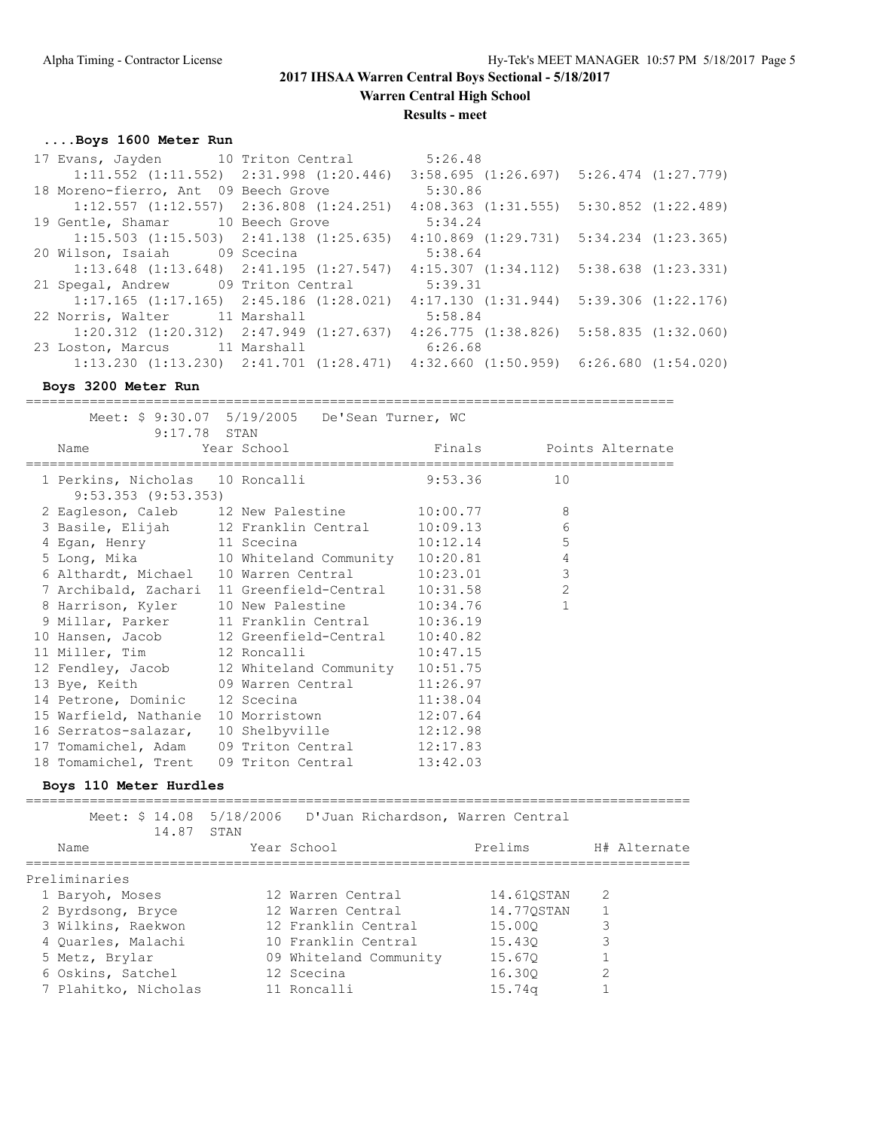**Warren Central High School**

**Results - meet**

## **....Boys 1600 Meter Run**

| 17 Evans, Jayden 10 Triton Central                                                              | 5:26.48                                                                                         |  |
|-------------------------------------------------------------------------------------------------|-------------------------------------------------------------------------------------------------|--|
| $1:11.552$ $(1:11.552)$ $2:31.998$ $(1:20.446)$                                                 | $3:58.695$ $(1:26.697)$ $5:26.474$ $(1:27.779)$                                                 |  |
| 18 Moreno-fierro, Ant 09 Beech Grove                                                            | 5:30.86                                                                                         |  |
| $1:12.557$ $(1:12.557)$ $2:36.808$ $(1:24.251)$                                                 | $4:08.363$ $(1:31.555)$ $5:30.852$ $(1:22.489)$                                                 |  |
| 19 Gentle, Shamar 10 Beech Grove                                                                | 5:34.24                                                                                         |  |
| $1:15.503$ $(1:15.503)$ $2:41.138$ $(1:25.635)$                                                 | $4:10.869$ $(1:29.731)$ $5:34.234$ $(1:23.365)$                                                 |  |
| 20 Wilson, Isaiah 09 Scecina                                                                    | 5:38.64                                                                                         |  |
| $1:13.648$ $(1:13.648)$ $2:41.195$ $(1:27.547)$ $4:15.307$ $(1:34.112)$ $5:38.638$ $(1:23.331)$ |                                                                                                 |  |
| 21 Spegal, Andrew 09 Triton Central                                                             | 5:39.31                                                                                         |  |
|                                                                                                 | $1:17.165$ $(1:17.165)$ $2:45.186$ $(1:28.021)$ $4:17.130$ $(1:31.944)$ $5:39.306$ $(1:22.176)$ |  |
| 22 Norris, Walter 11 Marshall                                                                   | 5:58.84                                                                                         |  |
| $1:20.312$ $(1:20.312)$ $2:47.949$ $(1:27.637)$                                                 | $4:26.775$ $(1:38.826)$ $5:58.835$ $(1:32.060)$                                                 |  |
| 23 Loston, Marcus 11 Marshall                                                                   | 6:26.68                                                                                         |  |
| $1:13.230$ $(1:13.230)$ $2:41.701$ $(1:28.471)$ $4:32.660$ $(1:50.959)$ $6:26.680$ $(1:54.020)$ |                                                                                                 |  |

### **Boys 3200 Meter Run**

=================================================================================

|                         | Meet: \$ 9:30.07 5/19/2005 De'Sean Turner, WC       |         |                         |
|-------------------------|-----------------------------------------------------|---------|-------------------------|
| 9:17.78 STAN            |                                                     |         |                         |
| Name                    | Year School                                         |         | Finals Points Alternate |
|                         |                                                     |         |                         |
|                         | 1 Perkins, Nicholas 10 Roncalli                     | 9:53.36 | 10                      |
| $9:53.353$ $(9:53.353)$ |                                                     |         |                         |
|                         | 2 Eagleson, Caleb 12 New Palestine 10:00.77         |         | 8                       |
|                         | 3 Basile, Elijah 12 Franklin Central 10:09.13       |         | $\epsilon$              |
|                         | 4 Egan, Henry 11 Scecina 10:12.14                   |         | 5                       |
|                         | 5 Long, Mika 10 Whiteland Community 10:20.81        |         | $\overline{4}$          |
|                         | 6 Althardt, Michael 10 Warren Central 10:23.01      |         | 3                       |
|                         | 7 Archibald, Zachari 11 Greenfield-Central 10:31.58 |         | $\overline{c}$          |
|                         | 8 Harrison, Kyler 10 New Palestine 10:34.76         |         | $\mathbf{1}$            |
|                         | 9 Millar, Parker 11 Franklin Central 10:36.19       |         |                         |
|                         | 10 Hansen, Jacob 12 Greenfield-Central 10:40.82     |         |                         |
|                         | 11 Miller, Tim 12 Roncalli 10:47.15                 |         |                         |
|                         | 12 Fendley, Jacob 12 Whiteland Community 10:51.75   |         |                         |
|                         | 13 Bye, Keith 09 Warren Central 11:26.97            |         |                         |
|                         | 14 Petrone, Dominic 12 Scecina 11:38.04             |         |                         |
| 15 Warfield, Nathanie   | 10 Morristown 12:07.64                              |         |                         |
| 16 Serratos-salazar,    | 10 Shelbyville 12:12.98                             |         |                         |
|                         | 17 Tomamichel, Adam 09 Triton Central 12:17.83      |         |                         |
|                         | 18 Tomamichel, Trent 09 Triton Central 13:42.03     |         |                         |

### **Boys 110 Meter Hurdles**

=================================================================================== Meet: \$ 14.08 5/18/2006 D'Juan Richardson, Warren Central 14.87 STAN Name Year School Prelims H# Alternate =================================================================================== Preliminaries 1 Baryoh, Moses 12 Warren Central 14.61QSTAN 2 2 Byrdsong, Bryce 12 Warren Central 14.77QSTAN 1 3 Wilkins, Raekwon 12 Franklin Central 15.00Q 3 4 Quarles, Malachi 10 Franklin Central 15.43Q 3 5 Metz, Brylar 09 Whiteland Community 15.67Q 1 6 Oskins, Satchel 12 Scecina 16.30Q 2 7 Plahitko, Nicholas 11 Roncalli 15.74q 1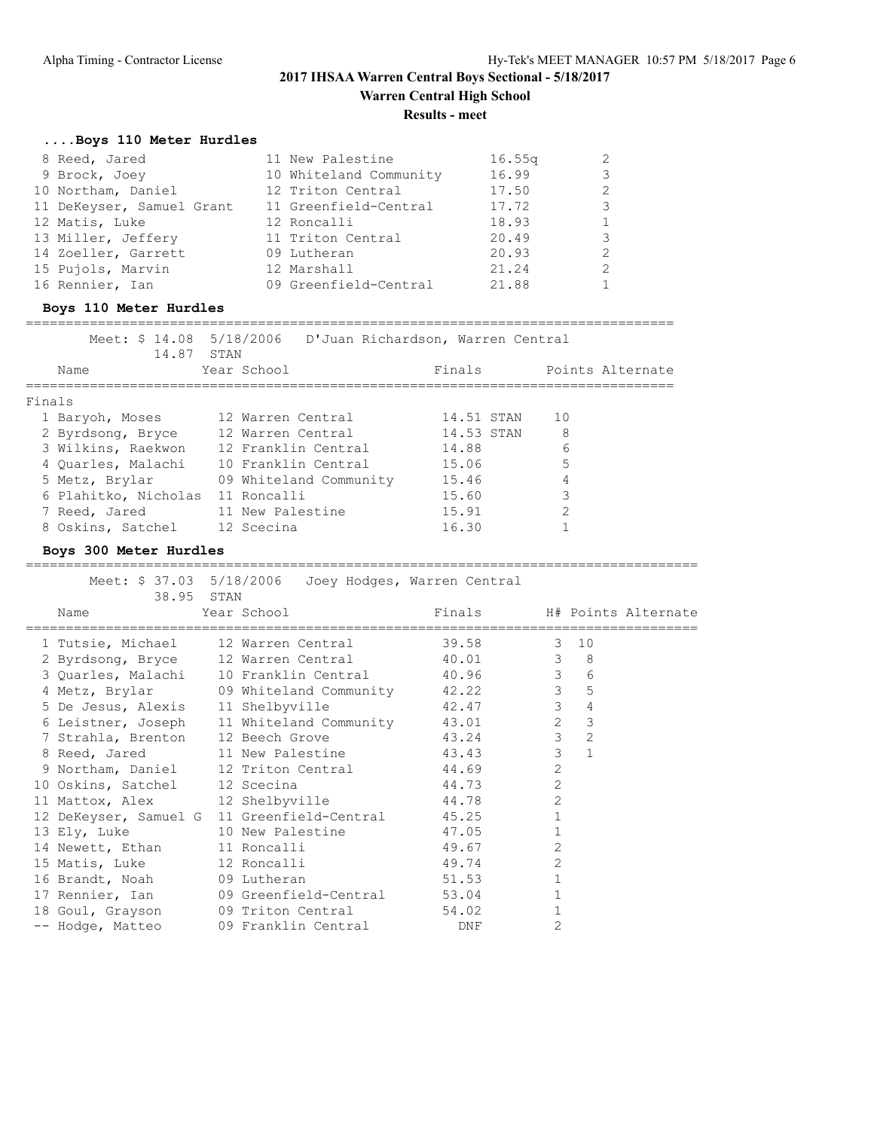## **Results - meet**

## **....Boys 110 Meter Hurdles**

| 8 Reed, Jared             | 11 New Palestine       | 16.55q |   |
|---------------------------|------------------------|--------|---|
| 9 Brock, Joey             | 10 Whiteland Community | 16.99  |   |
| 10 Northam, Daniel        | 12 Triton Central      | 17.50  | 2 |
| 11 DeKeyser, Samuel Grant | 11 Greenfield-Central  | 17.72  | 3 |
| 12 Matis, Luke            | 12 Roncalli            | 18.93  |   |
| 13 Miller, Jeffery        | 11 Triton Central      | 20.49  |   |
| 14 Zoeller, Garrett       | 09 Lutheran            | 20.93  |   |
| 15 Pujols, Marvin         | 12 Marshall            | 21.24  |   |
| 16 Rennier, Ian           | 09 Greenfield-Central  | 21.88  |   |

### **Boys 110 Meter Hurdles**

| Meet: \$ 14.08 5/18/2006<br>14.87 STAN |                        | D'Juan Richardson, Warren Central |                  |
|----------------------------------------|------------------------|-----------------------------------|------------------|
| Name                                   | Year School            | Finals                            | Points Alternate |
|                                        |                        |                                   |                  |
| Finals                                 |                        |                                   |                  |
| 1 Baryoh, Moses                        | 12 Warren Central      | 14.51 STAN                        | 1 O              |
| 2 Byrdsong, Bryce                      | 12 Warren Central      | 14.53 STAN                        | 8                |
| 3 Wilkins, Raekwon                     | 12 Franklin Central    | 14.88                             | 6                |
| 4 Ouarles, Malachi                     | 10 Franklin Central    | 15.06                             | 5                |
| 5 Metz, Brylar                         | 09 Whiteland Community | 15.46                             | 4                |
| 6 Plahitko, Nicholas                   | 11 Roncalli            | 15.60                             | 3                |
| 7 Reed, Jared                          | 11 New Palestine       | 15.91                             | $\mathcal{P}$    |
| 8 Oskins, Satchel                      | 12 Scecina             | 16.30                             |                  |

### **Boys 300 Meter Hurdles**

### ==================================================================================== Meet: \$ 37.03 5/18/2006 Joey Hodges, Warren Central

| 38.95 STAN                    | Meel: 9 37.03 3/10/2000 00ey nouges, wallen central |                            |                |                         |  |
|-------------------------------|-----------------------------------------------------|----------------------------|----------------|-------------------------|--|
| Name                          | Year School                                         | Finals H# Points Alternate |                |                         |  |
|                               | 1 Tutsie, Michael 12 Warren Central 39.58 3 10      |                            |                |                         |  |
|                               | 2 Byrdsong, Bryce 12 Warren Central 40.01 3 8       |                            |                |                         |  |
|                               | 3 Quarles, Malachi 10 Franklin Central 40.96 3 6    |                            |                |                         |  |
|                               | 4 Metz, Brylar 09 Whiteland Community 42.22 3 5     |                            |                |                         |  |
|                               | 5 De Jesus, Alexis 11 Shelbyville 42.47 3           |                            |                | $\overline{4}$          |  |
|                               | 6 Leistner, Joseph 11 Whiteland Community 43.01 2   |                            |                | $\overline{\mathbf{3}}$ |  |
|                               | 7 Strahla, Brenton 12 Beech Grove                   | 43.24 3                    |                | $\overline{2}$          |  |
|                               | 8 Reed, Jared 11 New Palestine 43.43 3              |                            |                | $\overline{1}$          |  |
|                               | 9 Northam, Daniel 12 Triton Central                 | 44.69                      | 2              |                         |  |
| 10 Oskins, Satchel 12 Scecina |                                                     | 44.73                      | 2              |                         |  |
|                               | 11 Mattox, Alex 12 Shelbyville 44.78                |                            | 2              |                         |  |
|                               | 12 DeKeyser, Samuel G 11 Greenfield-Central         | 45.25                      | $\mathbf{1}$   |                         |  |
|                               | 13 Ely, Luke 10 New Palestine                       | 47.05                      | $\mathbf{1}$   |                         |  |
|                               | 14 Newett, Ethan 11 Roncalli                        | 49.67                      | 2              |                         |  |
| 15 Matis, Luke 12 Roncalli    |                                                     | 49.74                      | $\overline{2}$ |                         |  |
| 16 Brandt, Noah 09 Lutheran   |                                                     | 51.53                      | $\mathbf{1}$   |                         |  |
|                               | 17 Rennier, Ian and 09 Greenfield-Central 53.04     |                            | $\mathbf{1}$   |                         |  |
|                               | 18 Goul, Grayson 09 Triton Central                  | 54.02                      |                |                         |  |
|                               | -- Hodge, Matteo 69 Franklin Central 60 DNF         |                            | 2              |                         |  |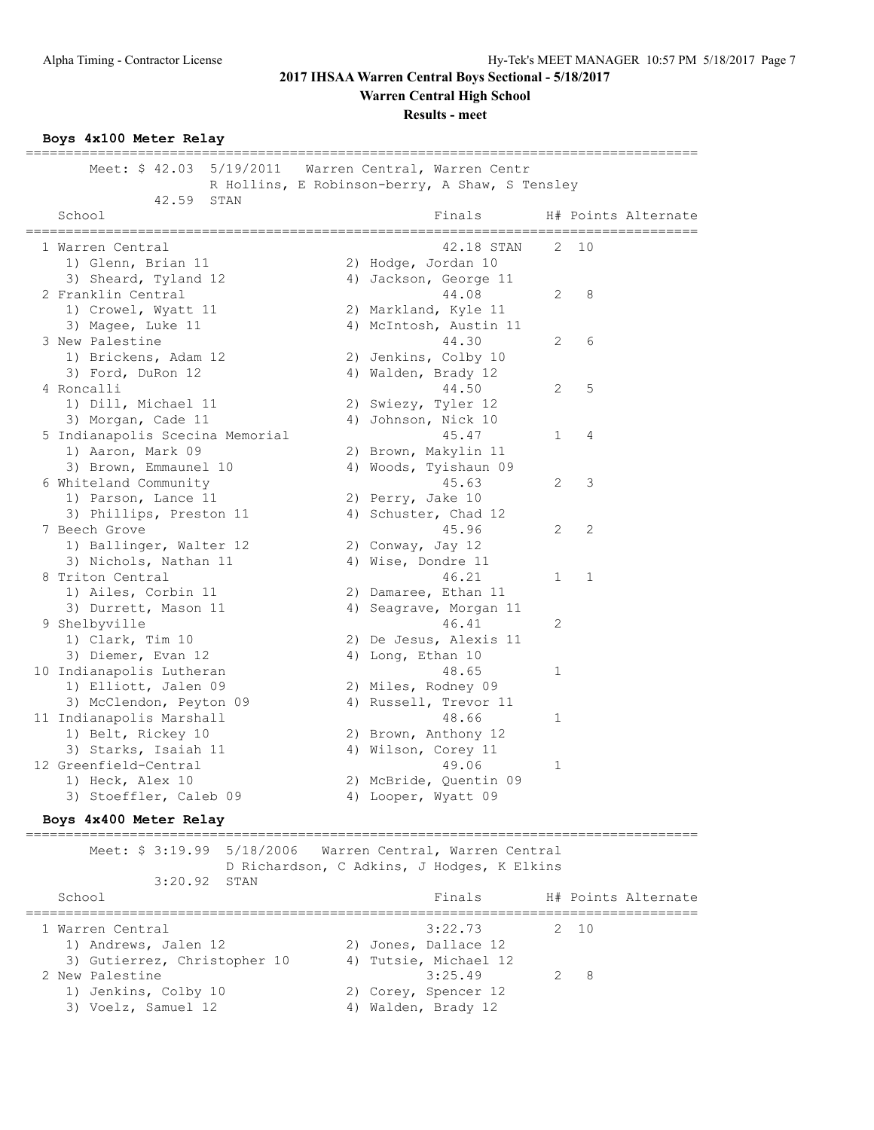**Warren Central High School**

**Results - meet**

**Boys 4x100 Meter Relay**

==================================================================================== Meet: \$ 42.03 5/19/2011 Warren Central, Warren Centr R Hollins, E Robinson-berry, A Shaw, S Tensley 42.59 STAN School **Finals** H# Points Alternate ==================================================================================== 1 Warren Central 42.18 STAN 2 10 1) Glenn, Brian 11 2) Hodge, Jordan 10 3) Sheard, Tyland 12 4) Jackson, George 11 2 Franklin Central 44.08 2 8 1) Crowel, Wyatt 11 2) Markland, Kyle 11 3) Magee, Luke 11 4) McIntosh, Austin 11 3 New Palestine 44.30 2 6 1) Brickens, Adam 12 2) Jenkins, Colby 10 3) Ford, DuRon 12 4) Walden, Brady 12 4 Roncalli 44.50 2 5 1) Dill, Michael 11 2) Swiezy, Tyler 12 3) Morgan, Cade 11 4) Johnson, Nick 10 5 Indianapolis Scecina Memorial 45.47 1 4 1) Aaron, Mark 09 2) Brown, Makylin 11 3) Brown, Emmaunel 10 4) Woods, Tyishaun 09 6 Whiteland Community 45.63 2 3 1) Parson, Lance 11 2) Perry, Jake 10 3) Phillips, Preston 11 4) Schuster, Chad 12 7 Beech Grove 45.96 2 2 1) Ballinger, Walter 12 2) Conway, Jay 12 3) Nichols, Nathan 11 4) Wise, Dondre 11 8 Triton Central 46.21 1 1 1) Ailes, Corbin 11 2) Damaree, Ethan 11 3) Durrett, Mason 11 4) Seagrave, Morgan 11 9 Shelbyville 46.41 2 1) Clark, Tim 10 2) De Jesus, Alexis 11 3) Diemer, Evan 12 4) Long, Ethan 10 10 Indianapolis Lutheran 1 10 and 18.65 1 1) Elliott, Jalen 09 2) Miles, Rodney 09 3) McClendon, Peyton 09 4) Russell, Trevor 11 11 Indianapolis Marshall 11 and 18.66 1 1) Belt, Rickey 10 2) Brown, Anthony 12 3) Starks, Isaiah 11 <a>
4) Wilson, Corey 11</a> 12 Greenfield-Central 49.06 1 1) Heck, Alex 10 2) McBride, Quentin 09 3) Stoeffler, Caleb 09 4) Looper, Wyatt 09 **Boys 4x400 Meter Relay** ==================================================================================== Meet: \$ 3:19.99 5/18/2006 Warren Central, Warren Central D Richardson, C Adkins, J Hodges, K Elkins 3:20.92 STAN School School Finals H# Points Alternate ==================================================================================== 1 Warren Central 3:22.73 2 10 1) Andrews, Jalen 12 2) Jones, Dallace 12 3) Gutierrez, Christopher 10 4) Tutsie, Michael 12 2 New Palestine 3:25.49 2 8 1) Jenkins, Colby 10 2) Corey, Spencer 12 3) Voelz, Samuel 12 4) Walden, Brady 12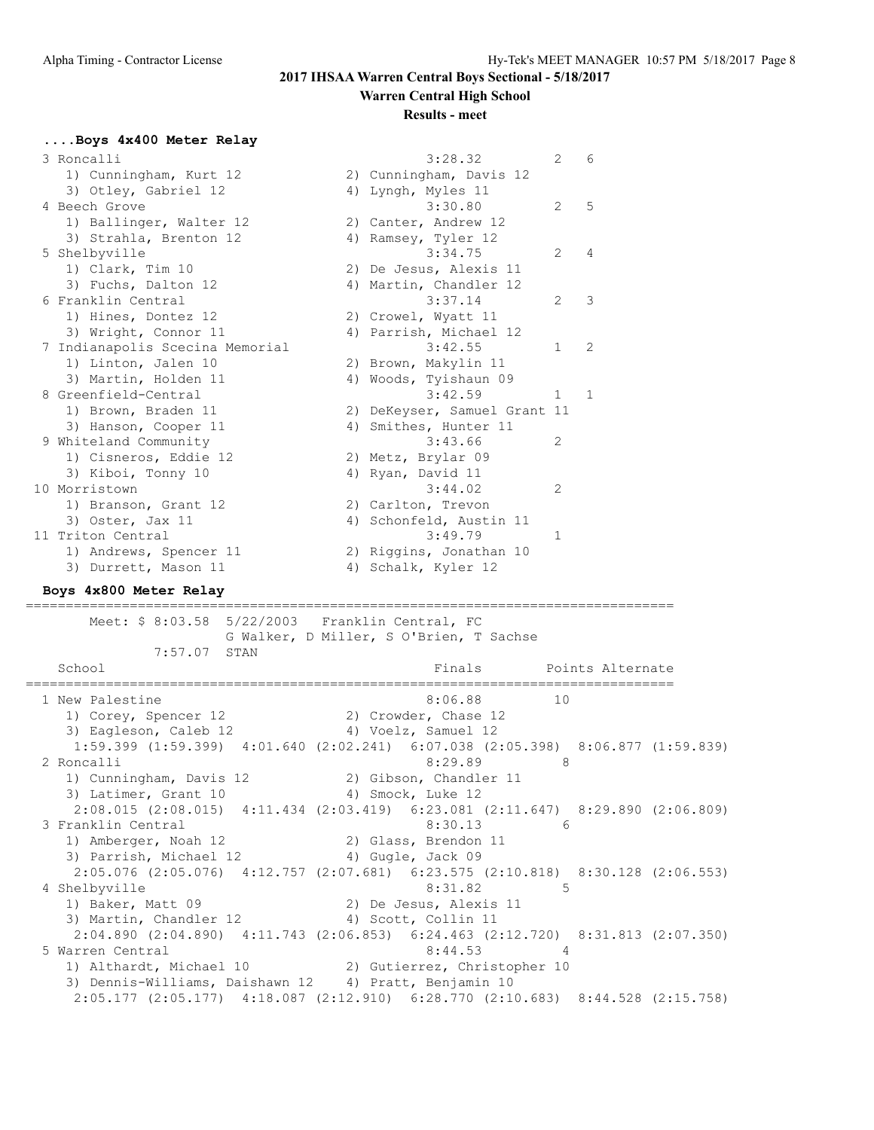## **Results - meet**

## **....Boys 4x400 Meter Relay**

| 3 Roncalli                                                                      | 3:28.32                                 | 2            | 6                |
|---------------------------------------------------------------------------------|-----------------------------------------|--------------|------------------|
| 1) Cunningham, Kurt 12                                                          | 2) Cunningham, Davis 12                 |              |                  |
| 3) Otley, Gabriel 12                                                            | 4) Lyngh, Myles 11                      |              |                  |
| 4 Beech Grove                                                                   | 3:30.80                                 | 2            | 5                |
| 1) Ballinger, Walter 12                                                         | 2) Canter, Andrew 12                    |              |                  |
| 3) Strahla, Brenton 12                                                          | 4) Ramsey, Tyler 12                     |              |                  |
| 5 Shelbyville                                                                   | 3:34.75                                 | 2            | 4                |
| 1) Clark, Tim 10                                                                | 2) De Jesus, Alexis 11                  |              |                  |
| 3) Fuchs, Dalton 12                                                             | 4) Martin, Chandler 12                  |              |                  |
| 6 Franklin Central                                                              | 3:37.14                                 | 2            | 3                |
| 1) Hines, Dontez 12                                                             | 2) Crowel, Wyatt 11                     |              |                  |
| 3) Wright, Connor 11                                                            | 4) Parrish, Michael 12                  |              |                  |
| 7 Indianapolis Scecina Memorial                                                 | 3:42.55                                 | 1            | 2                |
| 1) Linton, Jalen 10                                                             | 2) Brown, Makylin 11                    |              |                  |
| 3) Martin, Holden 11                                                            | 4) Woods, Tyishaun 09                   |              |                  |
| 8 Greenfield-Central                                                            | 3:42.59                                 | 1            | 1                |
| 1) Brown, Braden 11                                                             | 2) DeKeyser, Samuel Grant 11            |              |                  |
| 3) Hanson, Cooper 11                                                            | 4) Smithes, Hunter 11                   |              |                  |
| 9 Whiteland Community                                                           | 3:43.66                                 | 2            |                  |
| 1) Cisneros, Eddie 12                                                           | 2) Metz, Brylar 09                      |              |                  |
| 3) Kiboi, Tonny 10                                                              | 4) Ryan, David 11                       |              |                  |
| 10 Morristown                                                                   | 3:44.02                                 | 2            |                  |
| 1) Branson, Grant 12                                                            | 2) Carlton, Trevon                      |              |                  |
| 3) Oster, Jax 11                                                                | 4) Schonfeld, Austin 11                 |              |                  |
| 11 Triton Central                                                               | 3:49.79                                 | $\mathbf{1}$ |                  |
| 1) Andrews, Spencer 11                                                          | 2) Riggins, Jonathan 10                 |              |                  |
| 3) Durrett, Mason 11                                                            | 4) Schalk, Kyler 12                     |              |                  |
| Boys 4x800 Meter Relay                                                          |                                         |              |                  |
| Meet: \$ 8:03.58 5/22/2003                                                      | Franklin Central, FC                    |              |                  |
|                                                                                 | G Walker, D Miller, S O'Brien, T Sachse |              |                  |
| 7:57.07 STAN                                                                    |                                         |              |                  |
| School                                                                          | Finals                                  |              | Points Alternate |
| 1 New Palestine                                                                 | 8:06.88                                 | 10           |                  |
| 1) Corey, Spencer 12                                                            | 2) Crowder, Chase 12                    |              |                  |
| 3) Eagleson, Caleb 12                                                           | 4) Voelz, Samuel 12                     |              |                  |
| 1:59.399 (1:59.399) 4:01.640 (2:02.241) 6:07.038 (2:05.398) 8:06.877 (1:59.839) |                                         |              |                  |
| 2 Roncalli                                                                      | 8:29.89                                 | 8            |                  |
| 1) Cunningham, Davis 12                                                         | 2) Gibson, Chandler 11                  |              |                  |
| 3) Latimer, Grant 10                                                            | 4) Smock, Luke 12                       |              |                  |
| 2:08.015 (2:08.015) 4:11.434 (2:03.419) 6:23.081 (2:11.647) 8:29.890 (2:06.809) |                                         |              |                  |
| 3 Franklin Central                                                              | 8:30.13                                 | 6            |                  |

 1) Amberger, Noah 12 2) Glass, Brendon 11 3) Parrish, Michael 12 (4) Gugle, Jack 09 2:05.076 (2:05.076) 4:12.757 (2:07.681) 6:23.575 (2:10.818) 8:30.128 (2:06.553) 4 Shelbyville 8:31.82 5 1) Baker, Matt 09 2) De Jesus, Alexis 11 3) Martin, Chandler 12 (4) Scott, Collin 11 2:04.890 (2:04.890) 4:11.743 (2:06.853) 6:24.463 (2:12.720) 8:31.813 (2:07.350) 5 Warren Central  $8:44.53$  4<br>1) Althardt, Michael 10 2) Gutierrez, Christopher 10 1) Althardt, Michael 10

2:05.177 (2:05.177) 4:18.087 (2:12.910) 6:28.770 (2:10.683) 8:44.528 (2:15.758)

3) Dennis-Williams, Daishawn 12 4) Pratt, Benjamin 10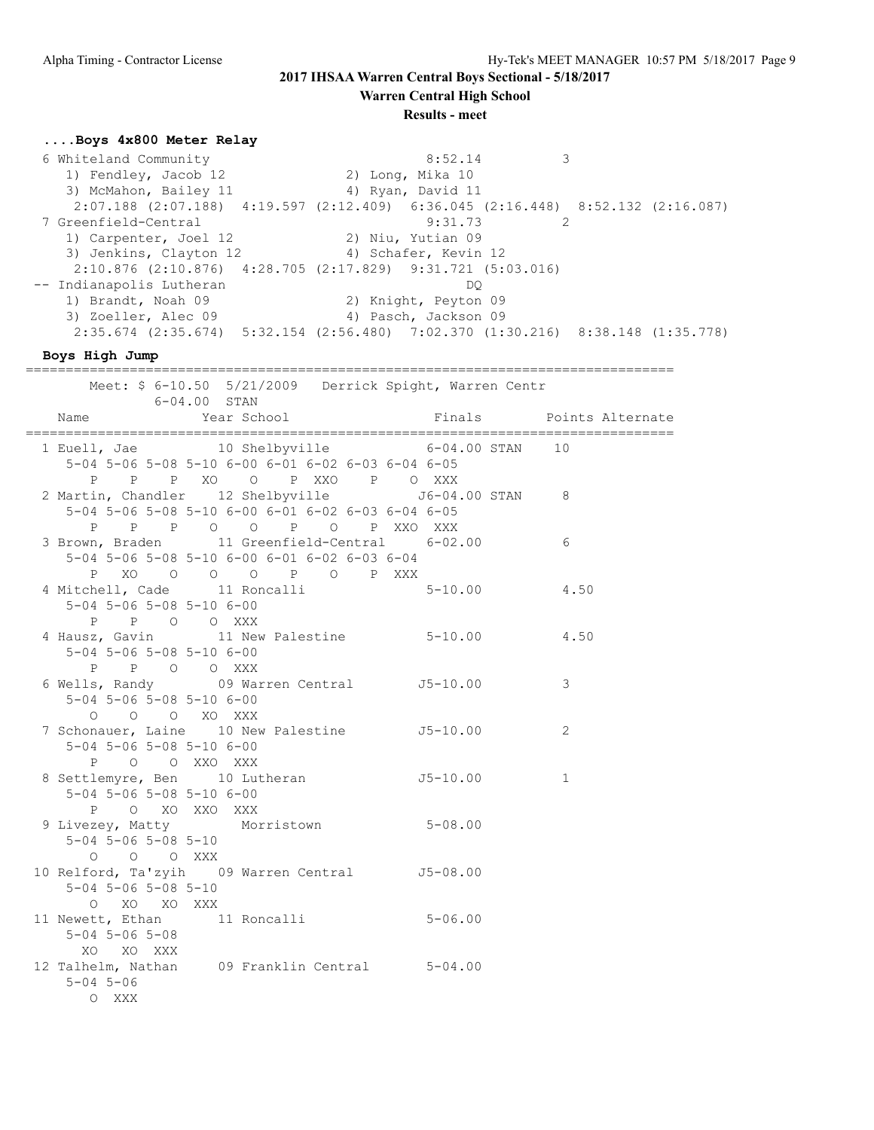**Warren Central High School**

**Results - meet**

## **....Boys 4x800 Meter Relay**

 6 Whiteland Community 8:52.14 3 1) Fendley, Jacob 12 2) Long, Mika 10 3) McMahon, Bailey 11 (4) Ryan, David 11 2:07.188 (2:07.188) 4:19.597 (2:12.409) 6:36.045 (2:16.448) 8:52.132 (2:16.087) 7 Greenfield-Central 9:31.73 2 1) Carpenter, Joel 12 2) Niu, Yutian 09 3) Jenkins, Clayton 12  $\hskip 1.5 cm 4)$  Schafer, Kevin 12 2:10.876 (2:10.876) 4:28.705 (2:17.829) 9:31.721 (5:03.016) -- Indianapolis Lutheran DQ 1) Brandt, Noah 09 2) Knight, Peyton 09 3) Zoeller, Alec 09 (4) Pasch, Jackson 09 2:35.674 (2:35.674) 5:32.154 (2:56.480) 7:02.370 (1:30.216) 8:38.148 (1:35.778)

**Boys High Jump**

| poys nigh Jump                                                                                                                         |              |
|----------------------------------------------------------------------------------------------------------------------------------------|--------------|
| Meet: \$ 6-10.50 5/21/2009 Derrick Spight, Warren Centr<br>$6 - 04.00$ STAN                                                            |              |
| Name                                                                                                                                   |              |
| 1 Euell, Jae 10 Shelbyville 6-04.00 STAN 10<br>5-04 5-06 5-08 5-10 6-00 6-01 6-02 6-03 6-04 6-05<br>P P P XO O P XXO P O XXX           |              |
| 2 Martin, Chandler 12 Shelbyville 56-04.00 STAN 8<br>5-04 5-06 5-08 5-10 6-00 6-01 6-02 6-03 6-04 6-05<br>P P P O O P O P XXO XXX      |              |
| 3 Brown, Braden 11 Greenfield-Central 6-02.00<br>5-04 5-06 5-08 5-10 6-00 6-01 6-02 6-03 6-04<br>P XO O O O P O P XXX                  | 6            |
| 4 Mitchell, Cade 11 Roncalli 5-10.00 4.50<br>$5-04$ 5-06 5-08 5-10 6-00<br>P P O O XXX                                                 |              |
| 4 Hausz, Gavin 11 New Palestine 5-10.00 4.50<br>$5-04$ 5-06 5-08 5-10 6-00<br>P P O O XXX<br>6 Wells, Randy 09 Warren Central 55-10.00 |              |
| $5-04$ 5-06 5-08 5-10 6-00<br>0 0 0 XO XXX                                                                                             | 3            |
| 7 Schonauer, Laine 10 New Palestine 55-10.00<br>$5-04$ $5-06$ $5-08$ $5-10$ $6-00$<br>P O O XXO XXX                                    | 2            |
| 8 Settlemyre, Ben 10 Lutheran 15-10.00<br>$5 - 04$ 5-06 5-08 5-10 6-00<br>P O XO XXO XXX                                               | $\mathbf{1}$ |
| 9 Livezey, Matty Morristown 5-08.00<br>$5-04$ $5-06$ $5-08$ $5-10$<br>$O$ $O$ $O$ $XXX$                                                |              |
| 10 Relford, Ta'zyih 09 Warren Central 55-08.00<br>$5 - 04$ $5 - 06$ $5 - 08$ $5 - 10$<br>O XO XO XXX                                   |              |
| 11 Newett, Ethan 11 Roncalli<br>$5 - 06.00$<br>$5 - 04$ $5 - 06$ $5 - 08$<br>XO XO XXX                                                 |              |
| 12 Talhelm, Nathan 09 Franklin Central 5-04.00<br>$5 - 04$ $5 - 06$<br>O XXX                                                           |              |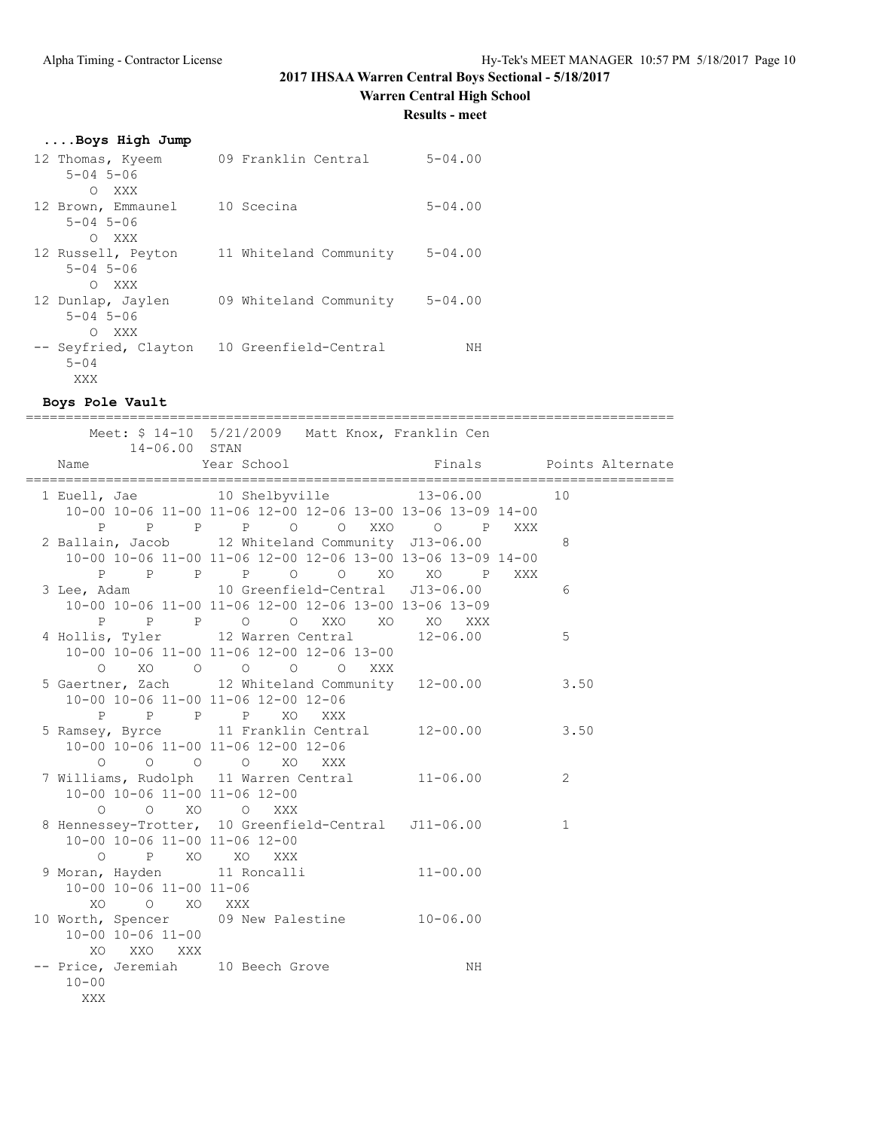**Warren Central High School**

**Results - meet**

## **....Boys High Jump**

| 12 Thomas, Kyeem<br>$5 - 04$ $5 - 06$<br>XXX<br>$\bigcirc$ | 09 Franklin Central    | $5 - 04.00$ |
|------------------------------------------------------------|------------------------|-------------|
| 12 Brown, Emmaunel<br>$5 - 04$ $5 - 06$<br>O XXX           | 10 Scecina             | $5 - 04.00$ |
| 12 Russell, Peyton<br>$5 - 04$ $5 - 06$<br>O XXX           | 11 Whiteland Community | $5 - 04.00$ |
| 12 Dunlap, Jaylen<br>$5 - 04$ $5 - 06$<br>XXX<br>$\Omega$  | 09 Whiteland Community | $5 - 04.00$ |
| -- Seyfried, Clayton<br>$5 - 04$<br>XXX                    | 10 Greenfield-Central  | NΗ          |

### **Boys Pole Vault**

|                                                                         | =============                                                                                          |                         |                |
|-------------------------------------------------------------------------|--------------------------------------------------------------------------------------------------------|-------------------------|----------------|
| 14-06.00 STAN                                                           | Meet: \$ 14-10 5/21/2009 Matt Knox, Franklin Cen                                                       |                         |                |
| Name                                                                    | Year School                                                                                            | Finals Points Alternate |                |
|                                                                         | 1 Euell, Jae 10 Shelbyville 13-06.00 10<br>10-00 10-06 11-00 11-06 12-00 12-06 13-00 13-06 13-09 14-00 |                         |                |
|                                                                         | P P P P O O XXO O P XXX<br>2 Ballain, Jacob 12 Whiteland Community J13-06.00                           |                         | 8              |
| $\mathbf{P}$                                                            | 10-00 10-06 11-00 11-06 12-00 12-06 13-00 13-06 13-09 14-00<br>P P P O O XO XO P XXX                   |                         |                |
|                                                                         | 3 Lee, Adam 10 Greenfield-Central J13-06.00<br>10-00 10-06 11-00 11-06 12-00 12-06 13-00 13-06 13-09   |                         | 6              |
|                                                                         | P P P O O XXO XO XO XXX<br>4 Hollis, Tyler 12 Warren Central 12-06.00                                  |                         | 5              |
|                                                                         | 10-00 10-06 11-00 11-06 12-00 12-06 13-00<br>0 XO 0 0 0 0 XXX                                          |                         |                |
|                                                                         | 5 Gaertner, Zach 12 Whiteland Community 12-00.00<br>10-00 10-06 11-00 11-06 12-00 12-06                |                         | 3.50           |
|                                                                         | P P P P XO XXX<br>5 Ramsey, Byrce 11 Franklin Central 12-00.00<br>10-00 10-06 11-00 11-06 12-00 12-06  |                         | 3.50           |
| 10-00 10-06 11-00 11-06 12-00                                           | 0 0 0 0 XO XXX<br>7 Williams, Rudolph 11 Warren Central 11-06.00                                       |                         | $\overline{2}$ |
| 0 0 XO 0 XXX<br>10-00 10-06 11-00 11-06 12-00                           | 8 Hennessey-Trotter, 10 Greenfield-Central J11-06.00                                                   |                         | $\mathbf{1}$   |
| O P XO XO XXX<br>9 Moran, Hayden 11 Roncalli<br>10-00 10-06 11-00 11-06 |                                                                                                        | $11 - 00.00$            |                |
| XO O XO XXX<br>10-00 10-06 11-00                                        | 10 Worth, Spencer 09 New Palestine 10-06.00                                                            |                         |                |
| XO XXO XXX<br>-- Price, Jeremiah 10 Beech Grove<br>$10 - 00$<br>XXX     |                                                                                                        | NH                      |                |
|                                                                         |                                                                                                        |                         |                |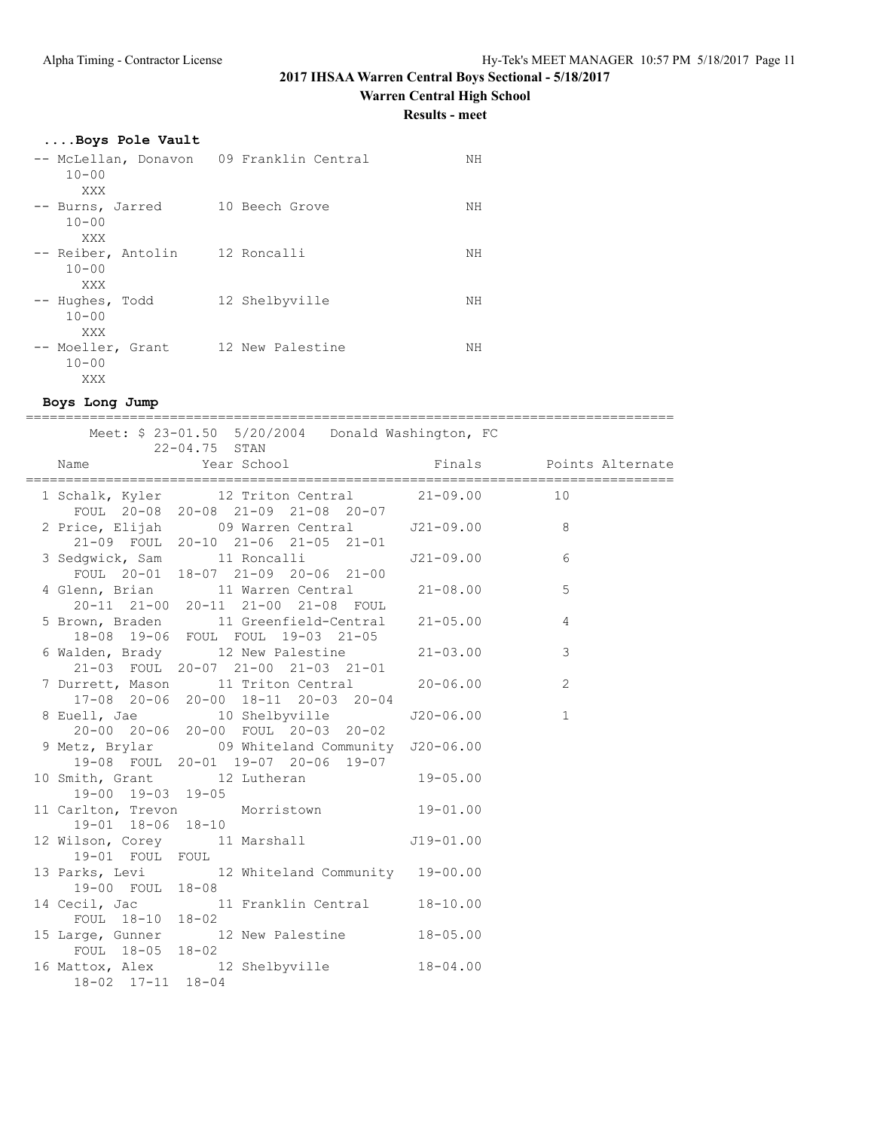**Warren Central High School**

**Results - meet**

## **....Boys Pole Vault**

| -- McLellan, Donavon<br>$10 - 00$<br>XXX | 09 Franklin Central | NΗ |
|------------------------------------------|---------------------|----|
| -- Burns, Jarred<br>$10 - 00$<br>XXX     | 10 Beech Grove      | NΗ |
| -- Reiber, Antolin<br>$10 - 00$<br>XXX   | 12 Roncalli         | NΗ |
| -- Hughes, Todd<br>$10 - 00$<br>XXX      | 12 Shelbyville      | NΗ |
| -- Moeller, Grant<br>$10 - 00$<br>XXX    | 12 New Palestine    | NΗ |

## **Boys Long Jump**

| Meet: \$ 23-01.50 5/20/2004 Donald Washington, FC                                                                             |              |
|-------------------------------------------------------------------------------------------------------------------------------|--------------|
|                                                                                                                               |              |
| 1 Schalk, Kyler 12 Triton Central 21-09.00 10                                                                                 |              |
| FOUL 20-08 20-08 21-09 21-08 20-07<br>2 Price, Elijah 09 Warren Central 121-09.00 8                                           |              |
| FOUL 20-01 18-07 21-09 20-06 21-00                                                                                            | 6            |
| 4 Glenn, Brian 11 Warren Central 21-08.00<br>20-11 21-00 20-11 21-00 21-08 FOUL                                               | 5            |
| 5 Brown, Braden 11 Greenfield-Central 21-05.00<br>18-08 19-06 FOUL FOUL 19-03 21-05                                           | 4            |
| 6 Walden, Brady 12 New Palestine 21-03.00<br>21-03 FOUL 20-07 21-00 21-03 21-01                                               | 3            |
| 7 Durrett, Mason 11 Triton Central 20-06.00<br>17-08 20-06 20-00 18-11 20-03 20-04                                            | $\mathbf{2}$ |
| 8 Euell, Jae 10 Shelbyville 520-06.00<br>$20-00$ $20-06$ $20-00$ $\overline{FOUL}$ $20-03$ $20-02$                            | $\mathbf{1}$ |
| 9 Metz, Brylar 09 Whiteland Community J20-06.00<br>19-08 FOUL 20-01 19-07 20-06 19-07<br>10 Smith, Grant 12 Lutheran 19-05.00 |              |
| 19-00 19-03 19-05                                                                                                             |              |
| 11 Carlton, Trevon Morristown 19-01.00<br>19-01 18-06 18-10                                                                   |              |
| 12 Wilson, Corey 11 Marshall 519-01.00<br>19-01 FOUL FOUL                                                                     |              |
| 13 Parks, Levi 12 Whiteland Community 19-00.00<br>19-00 FOUL 18-08                                                            |              |
| 14 Cecil, Jac $11$ Franklin Central $18-10.00$<br>FOUL $18-10$ $18-02$                                                        |              |
| 15 Large, Gunner 12 New Palestine 18-05.00<br>FOUL 18-05 18-02                                                                |              |
| 16 Mattox, Alex 12 Shelbyville 18-04.00<br>18-02 17-11 18-04                                                                  |              |
|                                                                                                                               |              |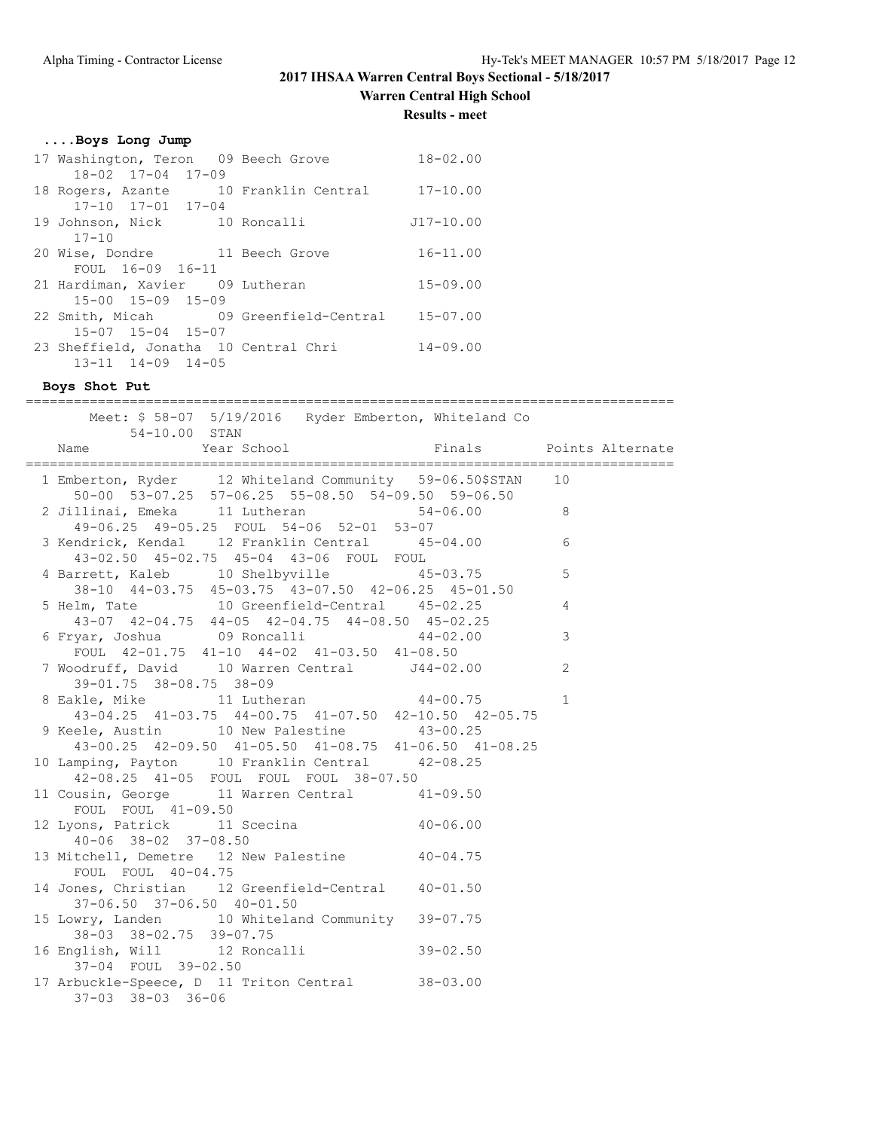**Warren Central High School**

**Results - meet**

|  |  |  | Boys Long Jump |  |  |
|--|--|--|----------------|--|--|
|--|--|--|----------------|--|--|

| 17 Washington, Teron 09 Beech Grove   | $18 - 02.00$  |  |  |  |  |
|---------------------------------------|---------------|--|--|--|--|
| $18 - 02$ $17 - 04$ $17 - 09$         |               |  |  |  |  |
| 18 Rogers, Azante 10 Franklin Central | $17 - 10.00$  |  |  |  |  |
| $17 - 10$ $17 - 01$ $17 - 04$         |               |  |  |  |  |
| 19 Johnson, Nick 10 Roncalli          | $J17 - 10.00$ |  |  |  |  |
| $17 - 10$                             |               |  |  |  |  |
| 20 Wise, Dondre 11 Beech Grove        | $16 - 11.00$  |  |  |  |  |
| FOUL 16-09 16-11                      |               |  |  |  |  |
| 21 Hardiman, Xavier 09 Lutheran       | $15 - 09.00$  |  |  |  |  |
| $15 - 00$ $15 - 09$ $15 - 09$         |               |  |  |  |  |
| 22 Smith, Micah 09 Greenfield-Central | $15 - 07.00$  |  |  |  |  |
|                                       |               |  |  |  |  |
| $15 - 07$ $15 - 04$ $15 - 07$         |               |  |  |  |  |
| 23 Sheffield, Jonatha 10 Central Chri | $14 - 09.00$  |  |  |  |  |

**Boys Shot Put** ================================================================================= Meet: \$ 58-07 5/19/2016 Ryder Emberton, Whiteland Co 54-10.00 STAN Name  $Year School$  Finals Points Alternate ================================================================================= 1 Emberton, Ryder 12 Whiteland Community 59-06.50\$STAN 10 50-00 53-07.25 57-06.25 55-08.50 54-09.50 59-06.50 2 Jillinai, Emeka 11 Lutheran 54-06.00 8 49-06.25 49-05.25 FOUL 54-06 52-01 53-07 3 Kendrick, Kendal 12 Franklin Central 45-04.00 6 43-02.50 45-02.75 45-04 43-06 FOUL FOUL 4 Barrett, Kaleb 10 Shelbyville 45-03.75 5 38-10 44-03.75 45-03.75 43-07.50 42-06.25 45-01.50 5 Helm, Tate 10 Greenfield-Central 45-02.25 4 43-07 42-04.75 44-05 42-04.75 44-08.50 45-02.25 6 Fryar, Joshua 09 Roncalli 44-02.00 3 FOUL 42-01.75 41-10 44-02 41-03.50 41-08.50 7 Woodruff, David 10 Warren Central J44-02.00 2 39-01.75 38-08.75 38-09 8 Eakle, Mike 11 Lutheran 44-00.75 1 43-04.25 41-03.75 44-00.75 41-07.50 42-10.50 42-05.75 9 Keele, Austin 10 New Palestine 43-00.25 43-00.25 42-09.50 41-05.50 41-08.75 41-06.50 41-08.25 10 Lamping, Payton 10 Franklin Central 42-08.25 42-08.25 41-05 FOUL FOUL FOUL 38-07.50 11 Cousin, George 11 Warren Central 41-09.50 FOUL FOUL 41-09.50 12 Lyons, Patrick 11 Scecina 40-06.00 40-06 38-02 37-08.50 13 Mitchell, Demetre 12 New Palestine 40-04.75 FOUL FOUL 40-04.75 14 Jones, Christian 12 Greenfield-Central 40-01.50 37-06.50 37-06.50 40-01.50

 15 Lowry, Landen 10 Whiteland Community 39-07.75 38-03 38-02.75 39-07.75 16 English, Will 12 Roncalli 39-02.50 37-04 FOUL 39-02.50 17 Arbuckle-Speece, D 11 Triton Central 38-03.00 37-03 38-03 36-06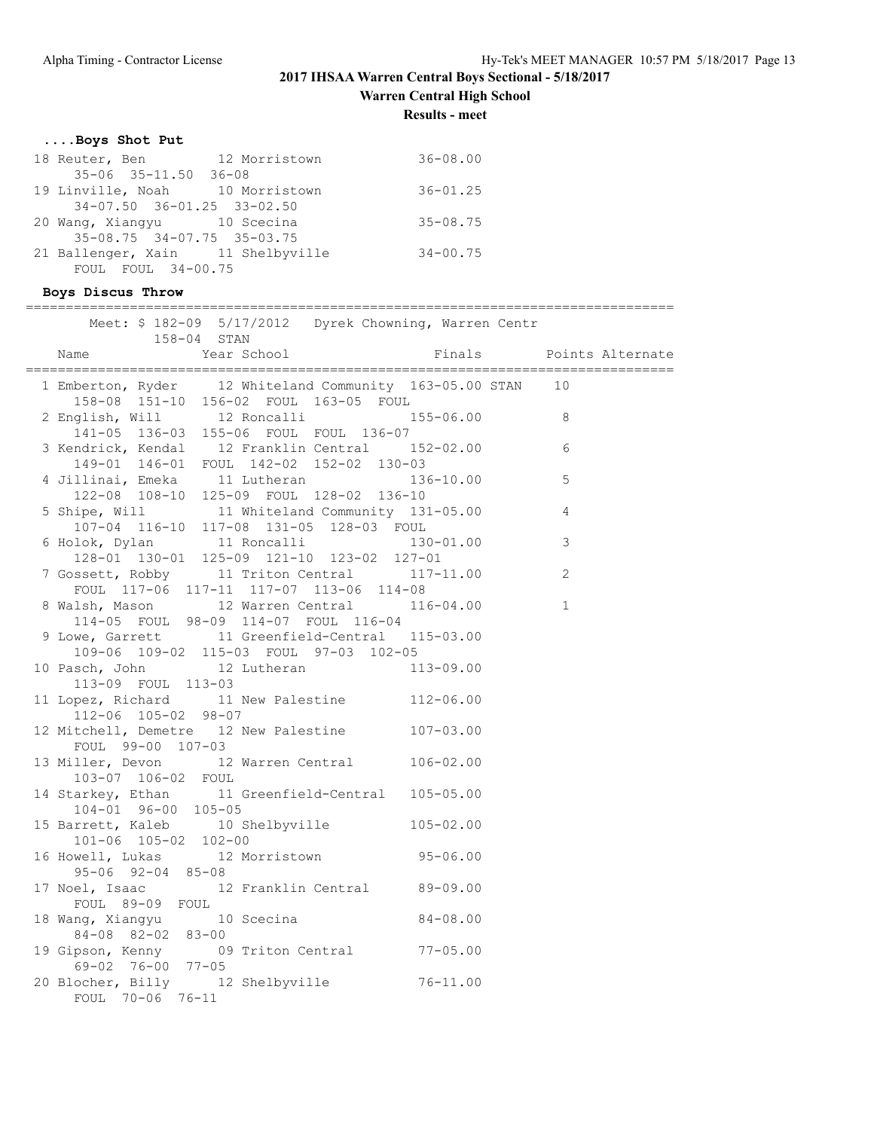**Warren Central High School**

**Results - meet**

## **....Boys Shot Put**

| 18 Reuter, Ben                    | 12 Morristown | $36 - 08.00$ |
|-----------------------------------|---------------|--------------|
| $35 - 06$ $35 - 11.50$ $36 - 08$  |               |              |
| 19 Linville, Noah 10 Morristown   |               | $36 - 01.25$ |
| 34-07.50 36-01.25 33-02.50        |               |              |
| 20 Wang, Xiangyu 10 Scecina       |               | $35 - 08.75$ |
| $35-08.75$ $34-07.75$ $35-03.75$  |               |              |
| 21 Ballenger, Xain 11 Shelbyville |               | $34 - 00.75$ |
| FOUL FOUL $34-00.75$              |               |              |

## **Boys Discus Throw**

### =================================================================================

| 158-04 STAN                                                                                                                                   | Meet: \$ 182-09 5/17/2012 Dyrek Chowning, Warren Centr |                         |
|-----------------------------------------------------------------------------------------------------------------------------------------------|--------------------------------------------------------|-------------------------|
| Year School<br>Name                                                                                                                           |                                                        | Finals Points Alternate |
| 1 Emberton, Ryder 12 Whiteland Community 163-05.00 STAN 10<br>158-08 151-10 156-02 FOUL 163-05 FOUL                                           |                                                        |                         |
| 2 English, Will 12 Roncalli 155-06.00 8<br>141-05 136-03 155-06 FOUL FOUL 136-07                                                              |                                                        |                         |
| 3 Kendrick, Kendal 12 Franklin Central 152-02.00 6<br>149-01 146-01 FOUL 142-02 152-02 130-03                                                 |                                                        |                         |
| 4 Jillinai, Emeka 11 Lutheran 136-10.00<br>122-08 108-10 125-09 FOUL 128-02 136-10                                                            |                                                        | 5                       |
|                                                                                                                                               |                                                        | $\overline{4}$          |
| 5 Shipe, Will<br>107-04 116-10 117-08 131-05 128-03 FOUL<br>6 Holok, Dylan 11 Roncalli 130-01.00<br>128-01 130-01 125-09 121-10 123-02 127-01 |                                                        | 3                       |
| 7 Gossett, Robby 11 Triton Central 117-11.00<br>FOUL 117-06 117-11 117-07 113-06 114-08                                                       |                                                        | 2                       |
| 8 Walsh, Mason 12 Warren Central 116-04.00<br>114-05 FOUL 98-09 114-07 FOUL 116-04                                                            |                                                        | $\mathbf{1}$            |
| 9 Lowe, Garrett 11 Greenfield-Central 115-03.00<br>109-06 109-02 115-03 FOUL 97-03 102-05                                                     |                                                        |                         |
| 10 Pasch, John 12 Lutheran 113-09.00<br>113-09 FOUL 113-03                                                                                    |                                                        |                         |
| 11 Lopez, Richard 11 New Palestine 112-06.00<br>112-06 105-02 98-07                                                                           |                                                        |                         |
| 12 Mitchell, Demetre 12 New Palestine 107-03.00<br>FOUL 99-00 107-03                                                                          |                                                        |                         |
| 13 Miller, Devon 12 Warren Central 106-02.00<br>103-07 106-02 FOUL                                                                            |                                                        |                         |
| 14 Starkey, Ethan 11 Greenfield-Central 105-05.00<br>$104 - 01$ 96-00 105-05                                                                  |                                                        |                         |
| 15 Barrett, Kaleb 10 Shelbyville 105-02.00<br>101-06 105-02 102-00                                                                            |                                                        |                         |
| 16 Howell, Lukas 12 Morristown 95-06.00<br>$95 - 06$ $92 - 04$ $85 - 08$                                                                      |                                                        |                         |
| 17 Noel, Isaac 12 Franklin Central 89-09.00<br>FOUL 89-09 FOUL                                                                                |                                                        |                         |
| 18 Wang, Xiangyu 10 Scecina 18 Wang, 24-08.00<br>84-08 82-02 83-00<br>19 Gipson, Kenny 09 Triton Central 77-05.00                             |                                                        |                         |
| 69-02 76-00 77-05                                                                                                                             |                                                        |                         |
| 20 Blocher, Billy 12 Shelbyville 76-11.00<br>FOUL 70-06 76-11                                                                                 |                                                        |                         |